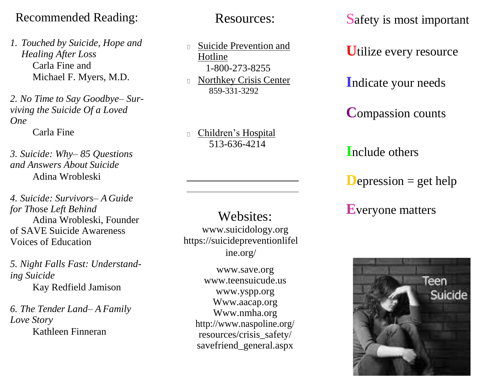# Recommended Reading:

*1. Touched by Suicide, Hope and Healing After Loss* Carla Fine and Michael F. Myers, M.D.

*2. No Time to Say Goodbye– Surviving the Suicide Of a Loved One*

Carla Fine

*3. Suicide: Why– 85 Questions and Answers About Suicide* Adina Wrobleski

*4. Suicide: Survivors– A Guide for Th*ose *Left Behind* Adina Wrobleski, Founder of SAVE Suicide Awareness Voices of Education

*5. Night Falls Fast: Understanding Suicide* Kay Redfield Jamison

*6. The Tender Land– A Family Love Story* Kathleen Finneran

Resources:

Suicide Prevention and  $\Box$ Hotline 1-800-273-8255

Northkey Crisis Center  $\Box$ 859-331-3292

Children's Hospital  $\Box$ 513-636-4214

Websites: [www.suicidology.org](http://www.suicidology.org/) [https://suicidepreventionlifel](https://suicidepreventionlifeline.org/) [ine.org/](https://suicidepreventionlifeline.org/)

> [www.save.org](http://www.save.org/) [www.teensuicude.us](http://www.teensuicude.us/) [www.yspp.org](http://www.yspp.org/) Www.aacap.org Www.nmha.org <http://www.naspoline.org/> resources/crisis\_safety/ savefriend\_general.aspx

Safety is most important

**U**tilize every resource

**I**ndicate your needs

**C**ompassion counts

**I**nclude others

**D**epression  $=$  get help

**E**veryone matters